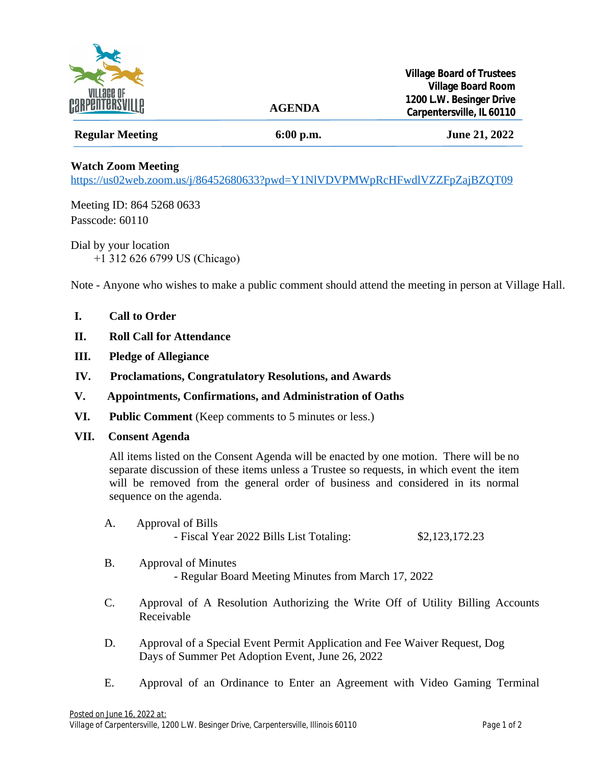

## **Regular Meeting 6:00 p.m. June 21, 2022**

 **AGENDA**

## **Watch Zoom Meeting**

<https://us02web.zoom.us/j/86452680633?pwd=Y1NlVDVPMWpRcHFwdlVZZFpZajBZQT09>

Meeting ID: 864 5268 0633 Passcode: 60110

Dial by your location +1 312 626 6799 US (Chicago)

Note - Anyone who wishes to make a public comment should attend the meeting in person at Village Hall.

- **I. Call to Order**
- **II. Roll Call for Attendance**
- **III. Pledge of Allegiance**
- **IV. Proclamations, Congratulatory Resolutions, and Awards**
- **V. Appointments, Confirmations, and Administration of Oaths**
- **VI. Public Comment** (Keep comments to 5 minutes or less.)
- **VII. Consent Agenda**

All items listed on the Consent Agenda will be enacted by one motion. There will be no separate discussion of these items unless a Trustee so requests, in which event the item will be removed from the general order of business and considered in its normal sequence on the agenda.

- A. Approval of Bills - Fiscal Year 2022 Bills List Totaling: \$2,123,172.23
- B. Approval of Minutes - Regular Board Meeting Minutes from March 17, 2022
- C. Approval of A Resolution Authorizing the Write Off of Utility Billing Accounts Receivable
- D. Approval of a Special Event Permit Application and Fee Waiver Request, Dog Days of Summer Pet Adoption Event, June 26, 2022
- E. Approval of an Ordinance to Enter an Agreement with Video Gaming Terminal